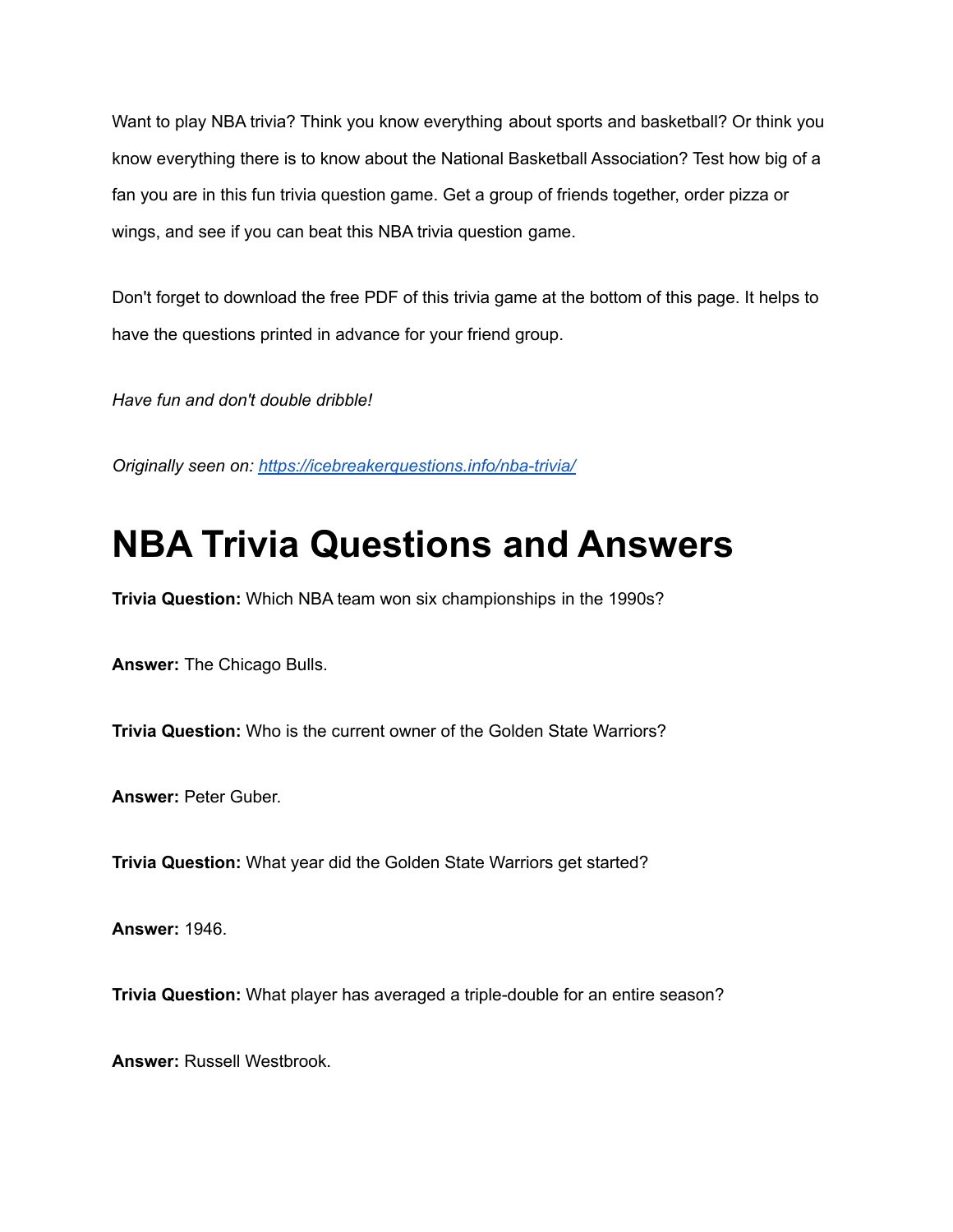Want to play NBA trivia? Think you know everything about sports and basketball? Or think you know everything there is to know about the National Basketball Association? Test how big of a fan you are in this fun trivia question game. Get a group of friends together, order pizza or wings, and see if you can beat this NBA trivia question game.

Don't forget to download the free PDF of this trivia game at the bottom of this page. It helps to have the questions printed in advance for your friend group.

*Have fun and don't double dribble!*

*Originally seen on: <https://icebreakerquestions.info/nba-trivia/>*

## **NBA Trivia Questions and Answers**

**Trivia Question:** Which NBA team won six championships in the 1990s?

**Answer:** The Chicago Bulls.

**Trivia Question:** Who is the current owner of the Golden State Warriors?

**Answer:** Peter Guber.

**Trivia Question:** What year did the Golden State Warriors get started?

**Answer:** 1946.

**Trivia Question:** What player has averaged a triple-double for an entire season?

**Answer:** Russell Westbrook.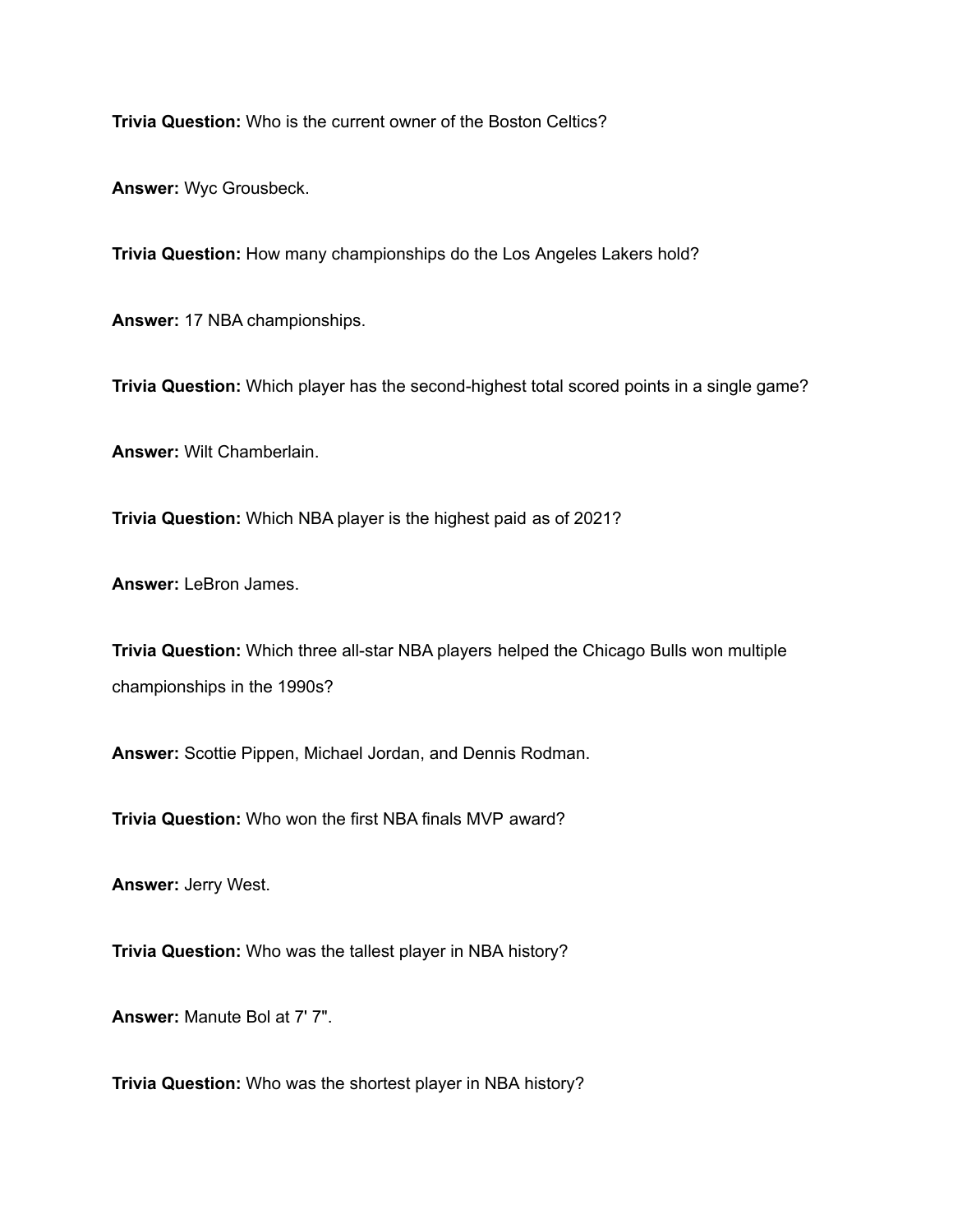**Trivia Question:** Who is the current owner of the Boston Celtics?

**Answer:** Wyc Grousbeck.

**Trivia Question:** How many championships do the Los Angeles Lakers hold?

**Answer:** 17 NBA championships.

**Trivia Question:** Which player has the second-highest total scored points in a single game?

**Answer:** Wilt Chamberlain.

**Trivia Question:** Which NBA player is the highest paid as of 2021?

**Answer:** LeBron James.

**Trivia Question:** Which three all-star NBA players helped the Chicago Bulls won multiple championships in the 1990s?

**Answer:** Scottie Pippen, Michael Jordan, and Dennis Rodman.

**Trivia Question:** Who won the first NBA finals MVP award?

**Answer:** Jerry West.

**Trivia Question:** Who was the tallest player in NBA history?

**Answer:** Manute Bol at 7' 7".

**Trivia Question:** Who was the shortest player in NBA history?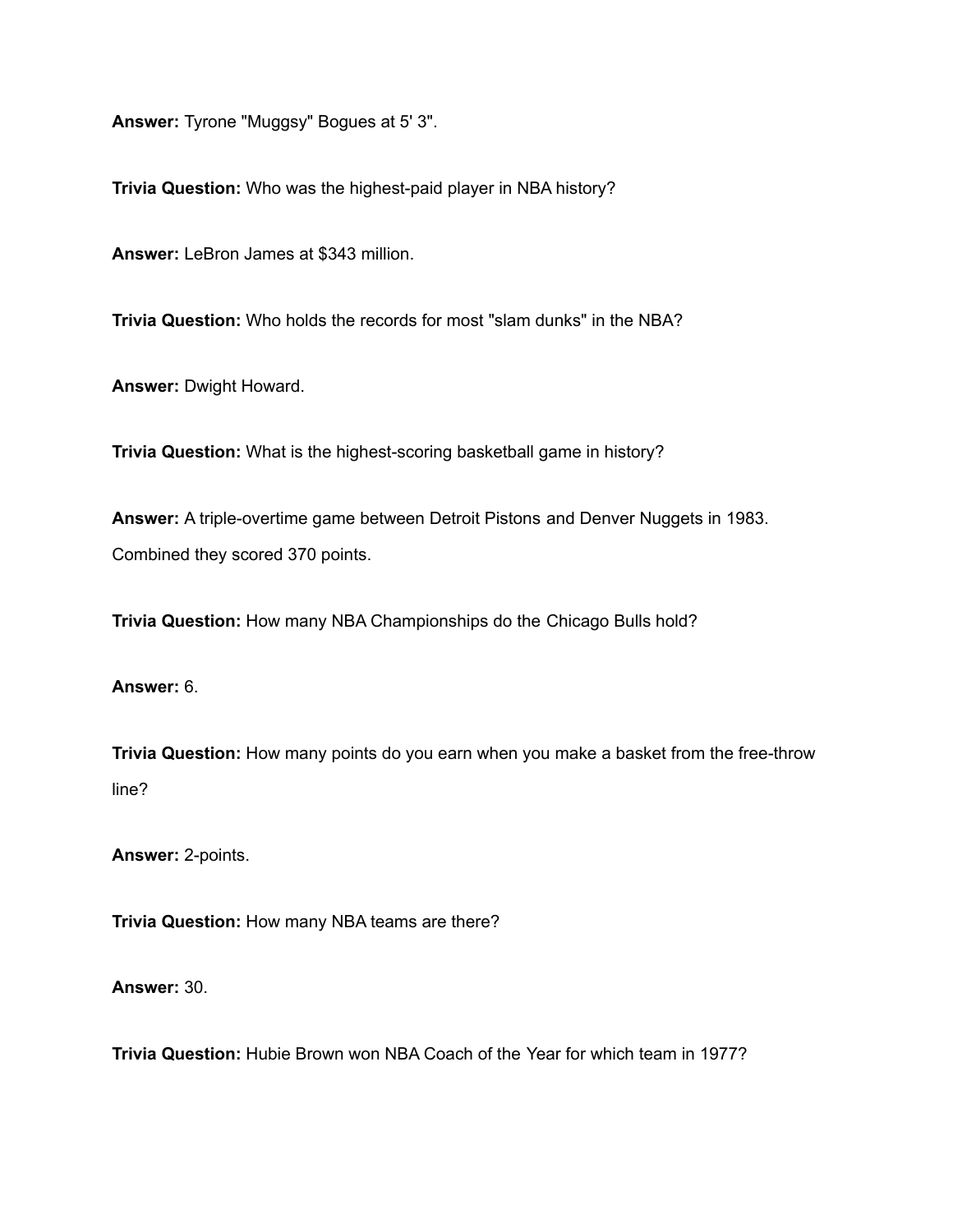**Answer:** Tyrone "Muggsy" Bogues at 5' 3".

**Trivia Question:** Who was the highest-paid player in NBA history?

**Answer:** LeBron James at \$343 million.

**Trivia Question:** Who holds the records for most "slam dunks" in the NBA?

**Answer:** Dwight Howard.

**Trivia Question:** What is the highest-scoring basketball game in history?

**Answer:** A triple-overtime game between Detroit Pistons and Denver Nuggets in 1983. Combined they scored 370 points.

**Trivia Question:** How many NBA Championships do the Chicago Bulls hold?

## **Answer:** 6.

**Trivia Question:** How many points do you earn when you make a basket from the free-throw line?

**Answer:** 2-points.

**Trivia Question:** How many NBA teams are there?

**Answer:** 30.

**Trivia Question:** Hubie Brown won NBA Coach of the Year for which team in 1977?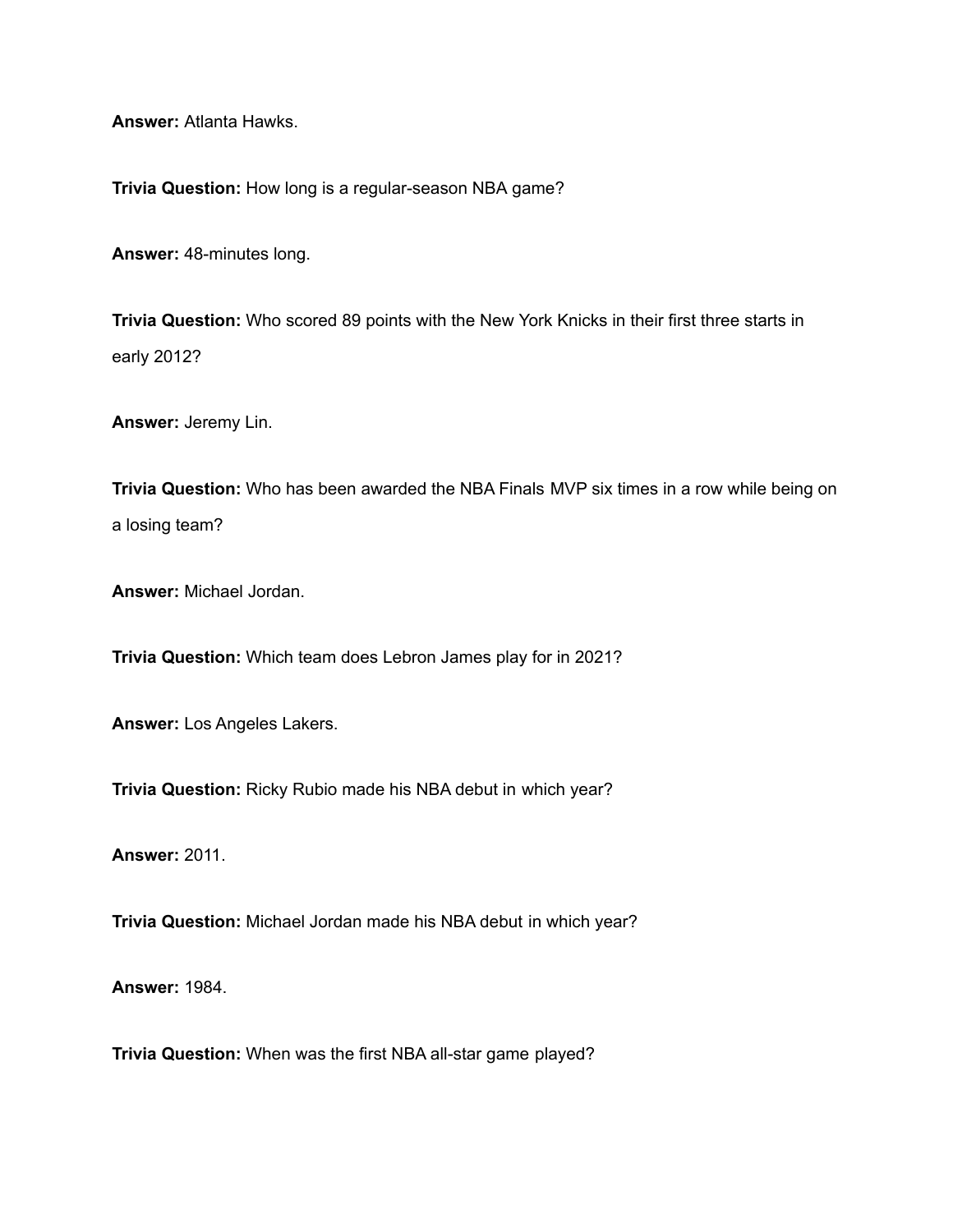**Answer:** Atlanta Hawks.

**Trivia Question:** How long is a regular-season NBA game?

**Answer:** 48-minutes long.

**Trivia Question:** Who scored 89 points with the New York Knicks in their first three starts in early 2012?

**Answer:** Jeremy Lin.

**Trivia Question:** Who has been awarded the NBA Finals MVP six times in a row while being on a losing team?

**Answer:** Michael Jordan.

**Trivia Question:** Which team does Lebron James play for in 2021?

**Answer:** Los Angeles Lakers.

**Trivia Question:** Ricky Rubio made his NBA debut in which year?

**Answer:** 2011.

**Trivia Question:** Michael Jordan made his NBA debut in which year?

**Answer:** 1984.

**Trivia Question:** When was the first NBA all-star game played?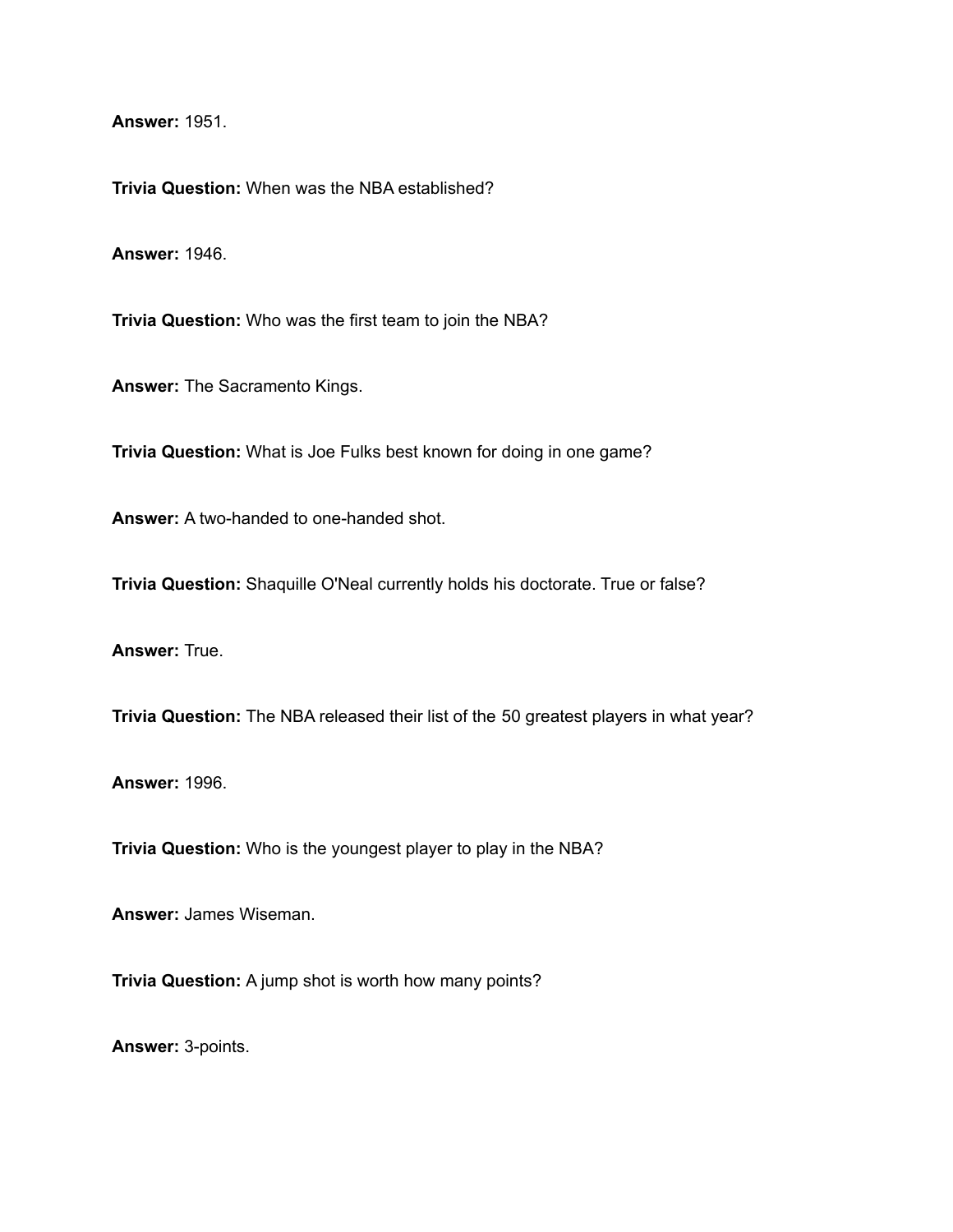**Answer:** 1951.

**Trivia Question:** When was the NBA established?

**Answer:** 1946.

**Trivia Question:** Who was the first team to join the NBA?

**Answer:** The Sacramento Kings.

**Trivia Question:** What is Joe Fulks best known for doing in one game?

**Answer:** A two-handed to one-handed shot.

**Trivia Question:** Shaquille O'Neal currently holds his doctorate. True or false?

**Answer:** True.

**Trivia Question:** The NBA released their list of the 50 greatest players in what year?

**Answer:** 1996.

**Trivia Question:** Who is the youngest player to play in the NBA?

**Answer:** James Wiseman.

**Trivia Question:** A jump shot is worth how many points?

**Answer:** 3-points.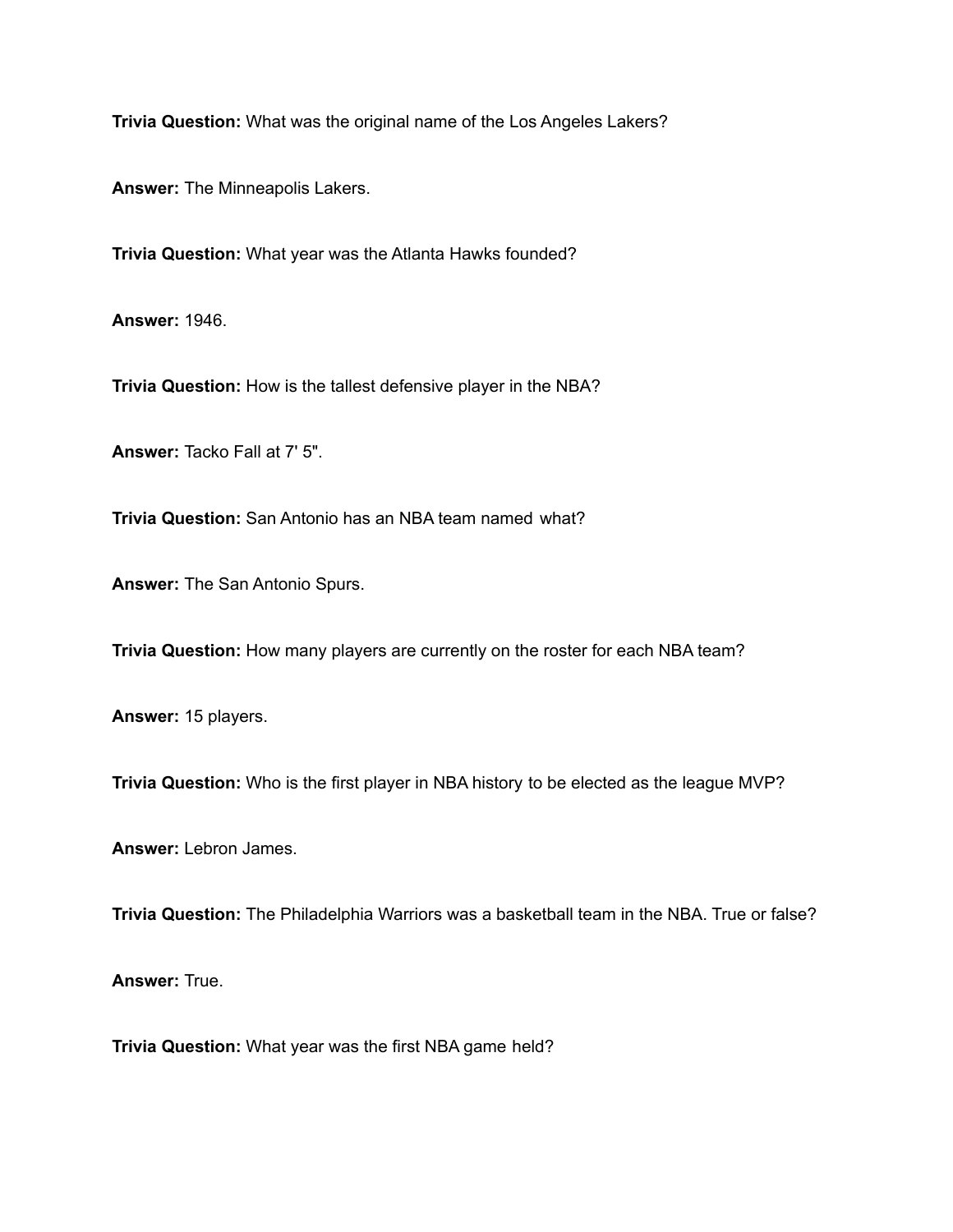**Trivia Question:** What was the original name of the Los Angeles Lakers?

**Answer:** The Minneapolis Lakers.

**Trivia Question:** What year was the Atlanta Hawks founded?

**Answer:** 1946.

**Trivia Question:** How is the tallest defensive player in the NBA?

**Answer:** Tacko Fall at 7' 5".

**Trivia Question:** San Antonio has an NBA team named what?

**Answer:** The San Antonio Spurs.

**Trivia Question:** How many players are currently on the roster for each NBA team?

**Answer:** 15 players.

**Trivia Question:** Who is the first player in NBA history to be elected as the league MVP?

**Answer:** Lebron James.

**Trivia Question:** The Philadelphia Warriors was a basketball team in the NBA. True or false?

**Answer:** True.

**Trivia Question:** What year was the first NBA game held?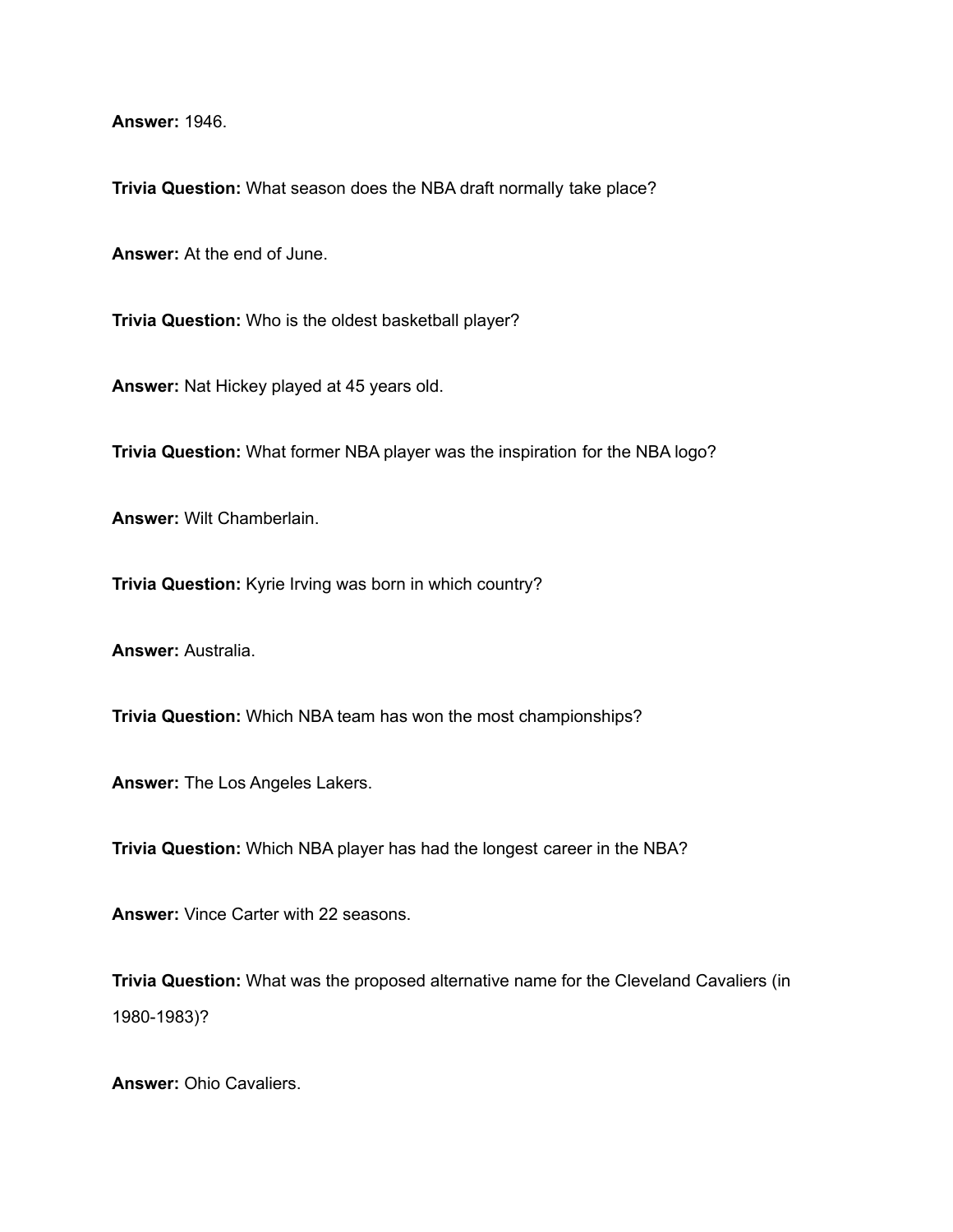**Answer:** 1946.

**Trivia Question:** What season does the NBA draft normally take place?

**Answer:** At the end of June.

**Trivia Question:** Who is the oldest basketball player?

**Answer:** Nat Hickey played at 45 years old.

**Trivia Question:** What former NBA player was the inspiration for the NBA logo?

**Answer:** Wilt Chamberlain.

**Trivia Question:** Kyrie Irving was born in which country?

**Answer:** Australia.

**Trivia Question:** Which NBA team has won the most championships?

**Answer:** The Los Angeles Lakers.

**Trivia Question:** Which NBA player has had the longest career in the NBA?

**Answer:** Vince Carter with 22 seasons.

**Trivia Question:** What was the proposed alternative name for the Cleveland Cavaliers (in 1980-1983)?

**Answer:** Ohio Cavaliers.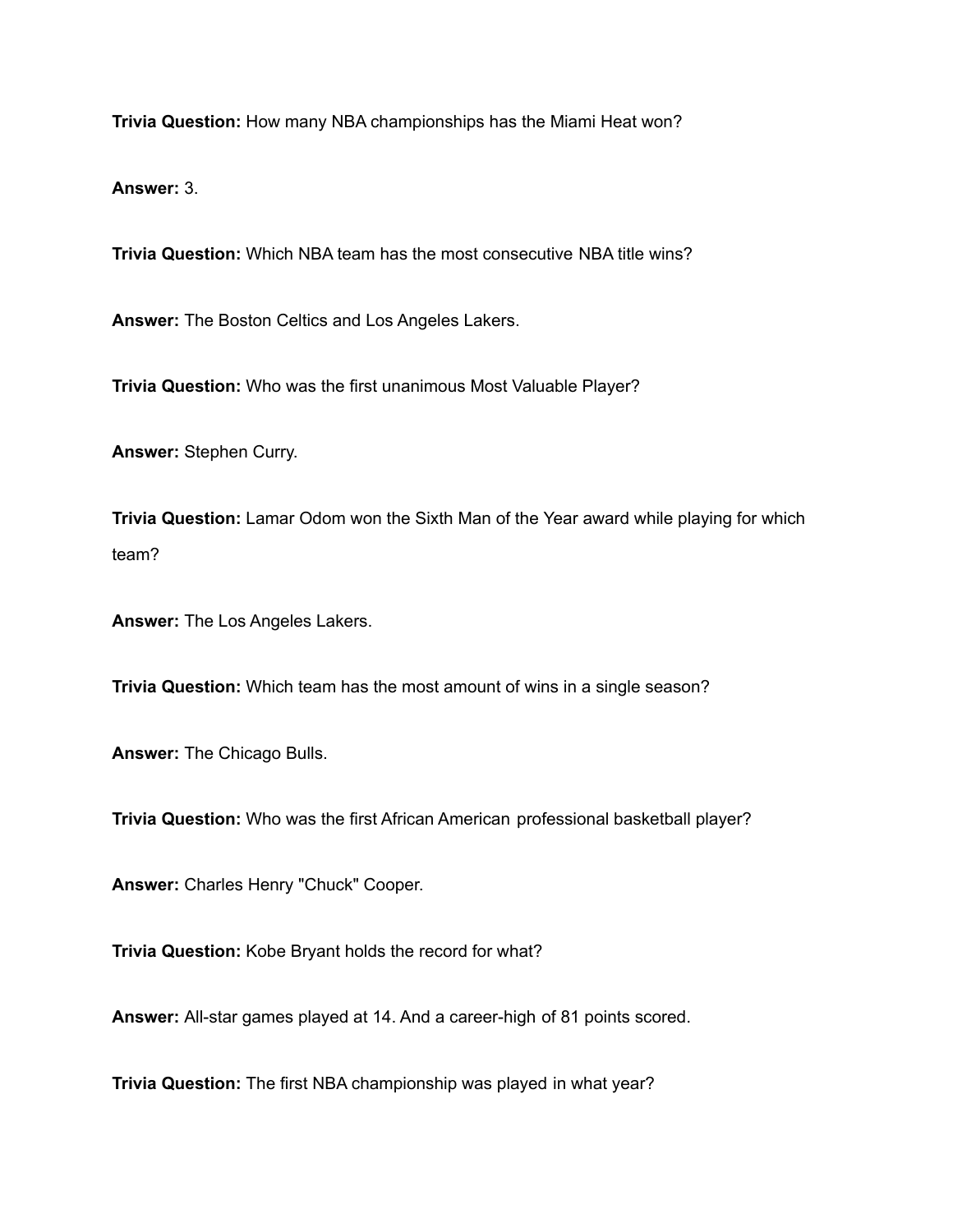**Trivia Question:** How many NBA championships has the Miami Heat won?

**Answer:** 3.

**Trivia Question:** Which NBA team has the most consecutive NBA title wins?

**Answer:** The Boston Celtics and Los Angeles Lakers.

**Trivia Question:** Who was the first unanimous Most Valuable Player?

**Answer:** Stephen Curry.

**Trivia Question:** Lamar Odom won the Sixth Man of the Year award while playing for which team?

**Answer:** The Los Angeles Lakers.

**Trivia Question:** Which team has the most amount of wins in a single season?

**Answer:** The Chicago Bulls.

**Trivia Question:** Who was the first African American professional basketball player?

**Answer:** Charles Henry "Chuck" Cooper.

**Trivia Question:** Kobe Bryant holds the record for what?

**Answer:** All-star games played at 14. And a career-high of 81 points scored.

**Trivia Question:** The first NBA championship was played in what year?